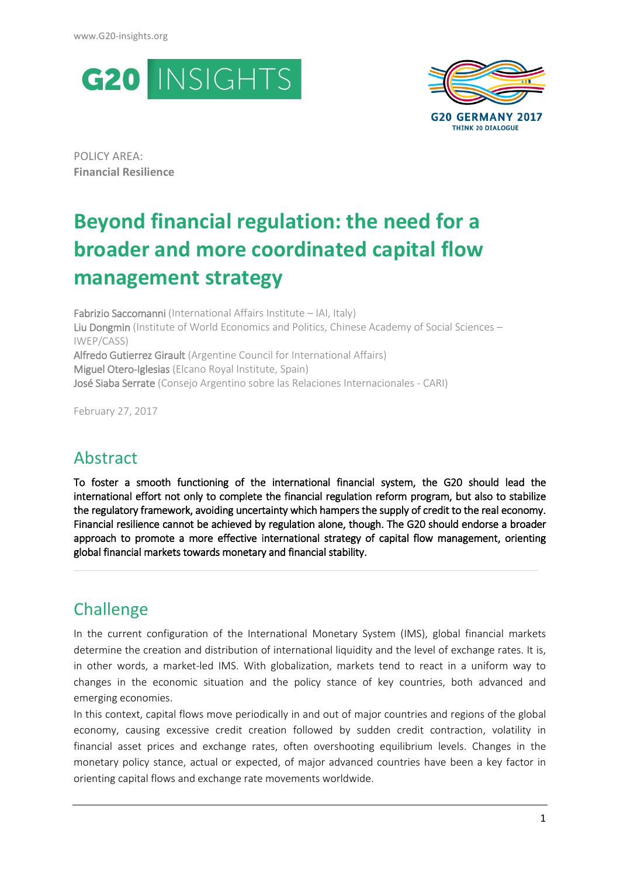



POLICY AREA: **Financial Resilience**

# **Beyond financial regulation: the need for a broader and more coordinated capital flow management strategy**

Fabrizio Saccomanni (International Affairs Institute – IAI, Italy) Liu Dongmin (Institute of World Economics and Politics, Chinese Academy of Social Sciences – IWEP/CASS) Alfredo Gutierrez Girault (Argentine Council for International Affairs) Miguel Otero-Iglesias (Elcano Royal Institute, Spain) José Siaba Serrate (Consejo Argentino sobre las Relaciones Internacionales - CARI)

February 27, 2017

## Abstract

To foster a smooth functioning of the international financial system, the G20 should lead the international effort not only to complete the financial regulation reform program, but also to stabilize the regulatory framework, avoiding uncertainty which hampers the supply of credit to the real economy. Financial resilience cannot be achieved by regulation alone, though. The G20 should endorse a broader approach to promote a more effective international strategy of capital flow management, orienting global financial markets towards monetary and financial stability.

**\_\_\_\_\_\_\_\_\_\_\_\_\_\_\_\_\_\_\_\_\_\_\_\_\_\_\_\_\_\_\_\_\_\_\_\_\_\_\_\_\_\_\_\_\_\_\_\_\_\_\_\_\_\_\_\_\_\_\_\_\_\_\_\_\_\_\_\_\_\_\_\_\_**

## **Challenge**

In the current configuration of the International Monetary System (IMS), global financial markets determine the creation and distribution of international liquidity and the level of exchange rates. It is, in other words, a market-led IMS. With globalization, markets tend to react in a uniform way to changes in the economic situation and the policy stance of key countries, both advanced and emerging economies.

In this context, capital flows move periodically in and out of major countries and regions of the global economy, causing excessive credit creation followed by sudden credit contraction, volatility in financial asset prices and exchange rates, often overshooting equilibrium levels. Changes in the monetary policy stance, actual or expected, of major advanced countries have been a key factor in orienting capital flows and exchange rate movements worldwide.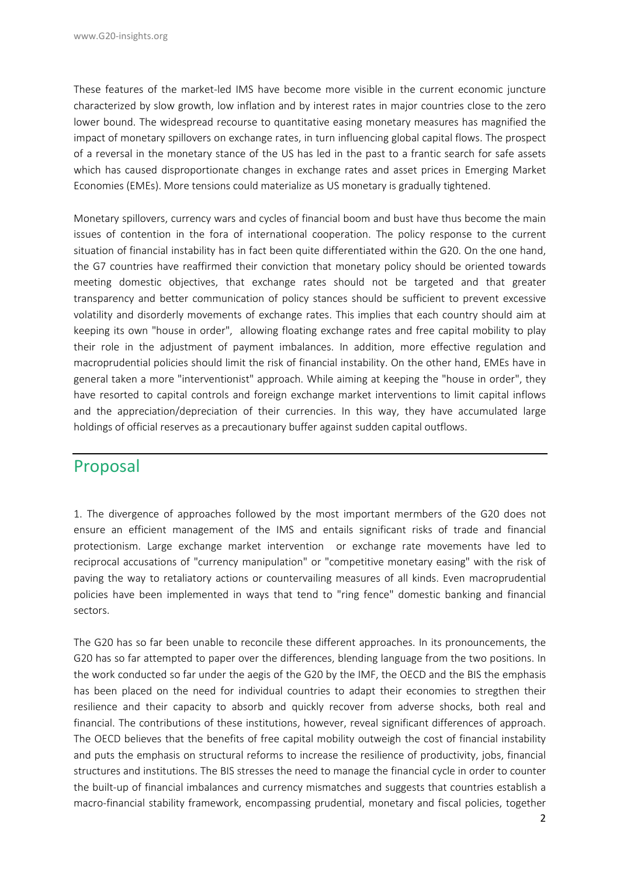These features of the market-led IMS have become more visible in the current economic juncture characterized by slow growth, low inflation and by interest rates in major countries close to the zero lower bound. The widespread recourse to quantitative easing monetary measures has magnified the impact of monetary spillovers on exchange rates, in turn influencing global capital flows. The prospect of a reversal in the monetary stance of the US has led in the past to a frantic search for safe assets which has caused disproportionate changes in exchange rates and asset prices in Emerging Market Economies (EMEs). More tensions could materialize as US monetary is gradually tightened.

Monetary spillovers, currency wars and cycles of financial boom and bust have thus become the main issues of contention in the fora of international cooperation. The policy response to the current situation of financial instability has in fact been quite differentiated within the G20. On the one hand, the G7 countries have reaffirmed their conviction that monetary policy should be oriented towards meeting domestic objectives, that exchange rates should not be targeted and that greater transparency and better communication of policy stances should be sufficient to prevent excessive volatility and disorderly movements of exchange rates. This implies that each country should aim at keeping its own "house in order", allowing floating exchange rates and free capital mobility to play their role in the adjustment of payment imbalances. In addition, more effective regulation and macroprudential policies should limit the risk of financial instability. On the other hand, EMEs have in general taken a more "interventionist" approach. While aiming at keeping the "house in order", they have resorted to capital controls and foreign exchange market interventions to limit capital inflows and the appreciation/depreciation of their currencies. In this way, they have accumulated large holdings of official reserves as a precautionary buffer against sudden capital outflows.

#### Proposal

1. The divergence of approaches followed by the most important mermbers of the G20 does not ensure an efficient management of the IMS and entails significant risks of trade and financial protectionism. Large exchange market intervention or exchange rate movements have led to reciprocal accusations of "currency manipulation" or "competitive monetary easing" with the risk of paving the way to retaliatory actions or countervailing measures of all kinds. Even macroprudential policies have been implemented in ways that tend to "ring fence" domestic banking and financial sectors.

The G20 has so far been unable to reconcile these different approaches. In its pronouncements, the G20 has so far attempted to paper over the differences, blending language from the two positions. In the work conducted so far under the aegis of the G20 by the IMF, the OECD and the BIS the emphasis has been placed on the need for individual countries to adapt their economies to stregthen their resilience and their capacity to absorb and quickly recover from adverse shocks, both real and financial. The contributions of these institutions, however, reveal significant differences of approach. The OECD believes that the benefits of free capital mobility outweigh the cost of financial instability and puts the emphasis on structural reforms to increase the resilience of productivity, jobs, financial structures and institutions. The BIS stresses the need to manage the financial cycle in order to counter the built-up of financial imbalances and currency mismatches and suggests that countries establish a macro-financial stability framework, encompassing prudential, monetary and fiscal policies, together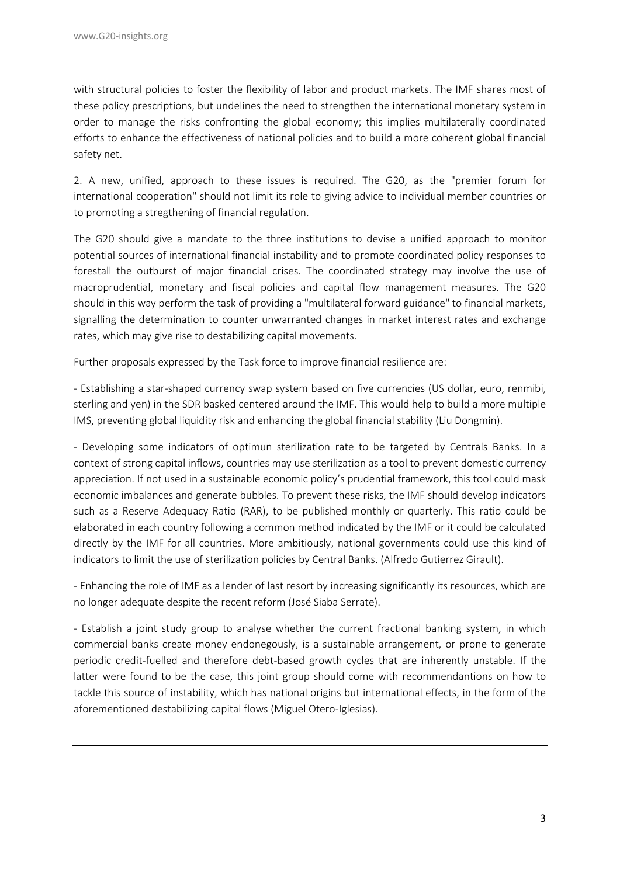with structural policies to foster the flexibility of labor and product markets. The IMF shares most of these policy prescriptions, but undelines the need to strengthen the international monetary system in order to manage the risks confronting the global economy; this implies multilaterally coordinated efforts to enhance the effectiveness of national policies and to build a more coherent global financial safety net.

2. A new, unified, approach to these issues is required. The G20, as the "premier forum for international cooperation" should not limit its role to giving advice to individual member countries or to promoting a stregthening of financial regulation.

The G20 should give a mandate to the three institutions to devise a unified approach to monitor potential sources of international financial instability and to promote coordinated policy responses to forestall the outburst of major financial crises. The coordinated strategy may involve the use of macroprudential, monetary and fiscal policies and capital flow management measures. The G20 should in this way perform the task of providing a "multilateral forward guidance" to financial markets, signalling the determination to counter unwarranted changes in market interest rates and exchange rates, which may give rise to destabilizing capital movements.

Further proposals expressed by the Task force to improve financial resilience are:

- Establishing a star-shaped currency swap system based on five currencies (US dollar, euro, renmibi, sterling and yen) in the SDR basked centered around the IMF. This would help to build a more multiple IMS, preventing global liquidity risk and enhancing the global financial stability (Liu Dongmin).

- Developing some indicators of optimun sterilization rate to be targeted by Centrals Banks. In a context of strong capital inflows, countries may use sterilization as a tool to prevent domestic currency appreciation. If not used in a sustainable economic policy's prudential framework, this tool could mask economic imbalances and generate bubbles. To prevent these risks, the IMF should develop indicators such as a Reserve Adequacy Ratio (RAR), to be published monthly or quarterly. This ratio could be elaborated in each country following a common method indicated by the IMF or it could be calculated directly by the IMF for all countries. More ambitiously, national governments could use this kind of indicators to limit the use of sterilization policies by Central Banks. (Alfredo Gutierrez Girault).

- Enhancing the role of IMF as a lender of last resort by increasing significantly its resources, which are no longer adequate despite the recent reform (José Siaba Serrate).

- Establish a joint study group to analyse whether the current fractional banking system, in which commercial banks create money endonegously, is a sustainable arrangement, or prone to generate periodic credit-fuelled and therefore debt-based growth cycles that are inherently unstable. If the latter were found to be the case, this joint group should come with recommendantions on how to tackle this source of instability, which has national origins but international effects, in the form of the aforementioned destabilizing capital flows (Miguel Otero-Iglesias).